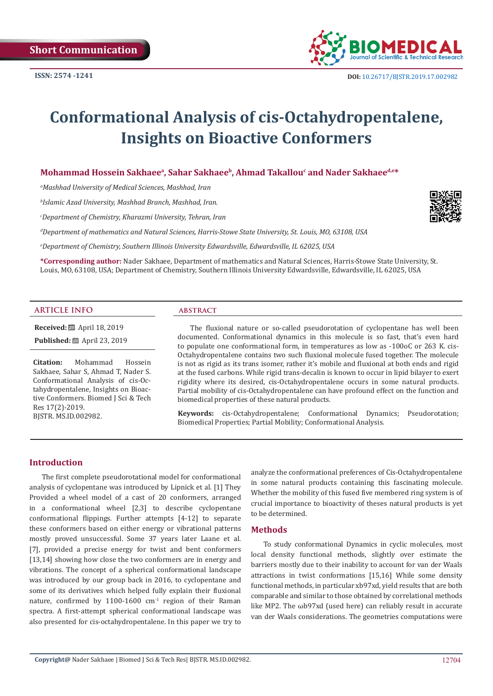**ISSN: 2574 -1241**



# **Conformational Analysis of cis-Octahydropentalene, Insights on Bioactive Conformers**

 $\bm{\mathsf{Mohammad}}$  Hossein Sakhaeeª, Sahar Sakhaeeʰ, Ahmad Takallou<sup>c</sup> and Nader Sakhaee<sup>d,e\*</sup>

*a Mashhad University of Medical Sciences, Mashhad, Iran*

*b Islamic Azad University, Mashhad Branch, Mashhad, Iran.*

*c Department of Chemistry, Kharazmi University, Tehran, Iran*

*d Department of mathematics and Natural Sciences, Harris-Stowe State University, St. Louis, MO, 63108, USA*

*e Department of Chemistry, Southern Illinois University Edwardsville, Edwardsville, IL 62025, USA*

**\*Corresponding author:** Nader Sakhaee, Department of mathematics and Natural Sciences, Harris-Stowe State University, St. Louis, MO, 63108, USA; Department of Chemistry, Southern Illinois University Edwardsville, Edwardsville, IL 62025, USA

#### **ARTICLE INFO abstract**

**Received:** ■ April 18, 2019

**Published:** ■ April 23, 2019

**Citation:** Mohammad Hossein Sakhaee, Sahar S, Ahmad T, Nader S. Conformational Analysis of cis-Octahydropentalene, Insights on Bioactive Conformers. Biomed J Sci & Tech Res 17(2)-2019. BJSTR. MS.ID.002982.

The fluxional nature or so-called pseudorotation of cyclopentane has well been documented. Conformational dynamics in this molecule is so fast, that's even hard to populate one conformational form, in temperatures as low as -100oC or 263 K. cis-Octahydropentalene contains two such fluxional molecule fused together. The molecule is not as rigid as its trans isomer, rather it's mobile and fluxional at both ends and rigid at the fused carbons. While rigid trans-decalin is known to occur in lipid bilayer to exert rigidity where its desired, cis-Octahydropentalene occurs in some natural products. Partial mobility of cis-Octahydropentalene can have profound effect on the function and biomedical properties of these natural products.

**Keywords:** cis-Octahydropentalene; Conformational Dynamics; Pseudorotation; Biomedical Properties; Partial Mobility; Conformational Analysis.

## **Introduction**

The first complete pseudorotational model for conformational analysis of cyclopentane was introduced by Lipnick et al. [1] They Provided a wheel model of a cast of 20 conformers, arranged in a conformational wheel [2,3] to describe cyclopentane conformational flippings. Further attempts [4-12] to separate these conformers based on either energy or vibrational patterns mostly proved unsuccessful. Some 37 years later Laane et al. [7], provided a precise energy for twist and bent conformers [13,14] showing how close the two conformers are in energy and vibrations. The concept of a spherical conformational landscape was introduced by our group back in 2016, to cyclopentane and some of its derivatives which helped fully explain their fluxional nature, confirmed by 1100-1600  $cm<sup>-1</sup>$  region of their Raman spectra. A first-attempt spherical conformational landscape was also presented for cis-octahydropentalene. In this paper we try to

analyze the conformational preferences of Cis-Octahydropentalene in some natural products containing this fascinating molecule. Whether the mobility of this fused five membered ring system is of crucial importance to bioactivity of theses natural products is yet to be determined.

#### **Methods**

To study conformational Dynamics in cyclic molecules, most local density functional methods, slightly over estimate the barriers mostly due to their inability to account for van der Waals attractions in twist conformations [15,16] While some density functional methods, in particular xb97xd, yield results that are both comparable and similar to those obtained by correlational methods like MP2. The ωb97xd (used here) can reliably result in accurate van der Waals considerations. The geometries computations were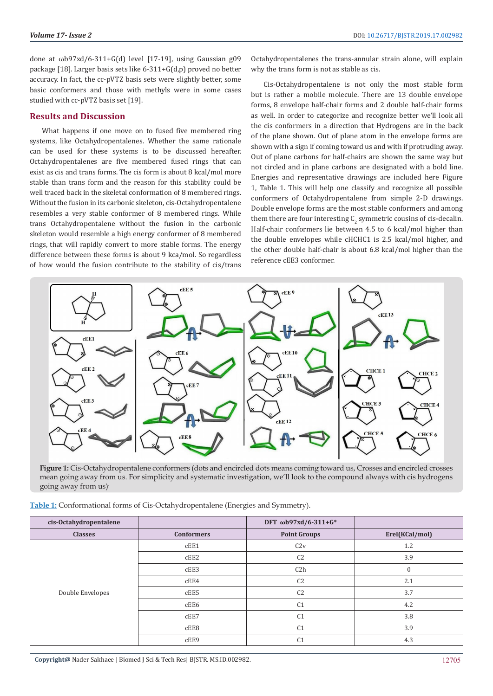done at ωb97xd/6-311+G(d) level [17-19], using Gaussian g09 package [18]. Larger basis sets like 6-311+G(d,p) proved no better accuracy. In fact, the cc-pVTZ basis sets were slightly better, some basic conformers and those with methyls were in some cases studied with cc-pVTZ basis set [19].

#### **Results and Discussion**

What happens if one move on to fused five membered ring systems, like Octahydropentalenes. Whether the same rationale can be used for these systems is to be discussed hereafter. Octahydropentalenes are five membered fused rings that can exist as cis and trans forms. The cis form is about 8 kcal/mol more stable than trans form and the reason for this stability could be well traced back in the skeletal conformation of 8 membered rings. Without the fusion in its carbonic skeleton, cis-Octahydropentalene resembles a very stable conformer of 8 membered rings. While trans Octahydropentalene without the fusion in the carbonic skeleton would resemble a high energy conformer of 8 membered rings, that will rapidly convert to more stable forms. The energy difference between these forms is about 9 kca/mol. So regardless of how would the fusion contribute to the stability of cis/trans

Octahydropentalenes the trans-annular strain alone, will explain why the trans form is not as stable as cis.

Cis-Octahydropentalene is not only the most stable form but is rather a mobile molecule. There are 13 double envelope forms, 8 envelope half-chair forms and 2 double half-chair forms as well. In order to categorize and recognize better we'll look all the cis conformers in a direction that Hydrogens are in the back of the plane shown. Out of plane atom in the envelope forms are shown with a sign if coming toward us and with if protruding away. Out of plane carbons for half-chairs are shown the same way but not circled and in plane carbons are designated with a bold line. Energies and representative drawings are included here Figure 1, Table 1. This will help one classify and recognize all possible conformers of Octahydropentalene from simple 2-D drawings. Double envelope forms are the most stable conformers and among them there are four interesting  ${\sf C}_2$  symmetric cousins of cis-decalin. Half-chair conformers lie between 4.5 to 6 kcal/mol higher than the double envelopes while cHCHC1 is 2.5 kcal/mol higher, and the other double half-chair is about 6.8 kcal/mol higher than the reference cEE3 conformer.



**Figure 1:** Cis-Octahydropentalene conformers (dots and encircled dots means coming toward us, Crosses and encircled crosses mean going away from us. For simplicity and systematic investigation, we'll look to the compound always with cis hydrogens going away from us).

| Table 1: Conformational forms of Cis-Octahydropentalene (Energies and Symmetry). |  |  |
|----------------------------------------------------------------------------------|--|--|
|----------------------------------------------------------------------------------|--|--|

| cis-Octahydropentalene |                   | DFT ωb97xd/6-311+G* |                |
|------------------------|-------------------|---------------------|----------------|
| <b>Classes</b>         | <b>Conformers</b> | <b>Point Groups</b> | Erel(KCal/mol) |
| Double Envelopes       | cEE1              | C2v                 | 1.2            |
|                        | CEE2              | C <sub>2</sub>      | 3.9            |
|                        | cEE3              | C2h                 | $\mathbf{0}$   |
|                        | cEE4              | C <sub>2</sub>      | 2.1            |
|                        | cEE5              | C <sub>2</sub>      | 3.7            |
|                        | cEE6              | C <sub>1</sub>      | 4.2            |
|                        | cEE7              | C <sub>1</sub>      | 3.8            |
|                        | cEE8              | C <sub>1</sub>      | 3.9            |
|                        | cEE9              | C <sub>1</sub>      | 4.3            |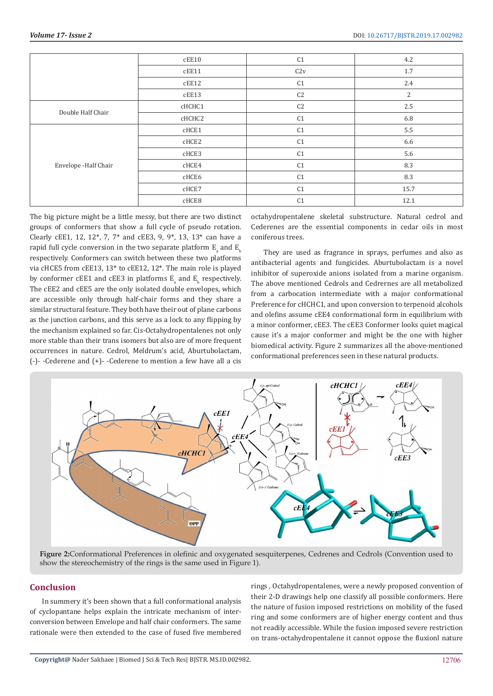|                       | cEE10  | C <sub>1</sub> | 4.2            |
|-----------------------|--------|----------------|----------------|
|                       | cEE11  | C2v            | $1.7\,$        |
|                       | cEE12  | C <sub>1</sub> | 2.4            |
|                       | cEE13  | C <sub>2</sub> | $\overline{2}$ |
| Double Half Chair     | cHCHC1 | C <sub>2</sub> | 2.5            |
|                       | cHCHC2 | C <sub>1</sub> | 6.8            |
| Envelope - Half Chair | cHCE1  | C <sub>1</sub> | 5.5            |
|                       | cHCE2  | C <sub>1</sub> | 6.6            |
|                       | cHCE3  | C <sub>1</sub> | 5.6            |
|                       | cHCE4  | C <sub>1</sub> | 8.3            |
|                       | cHCE6  | C <sub>1</sub> | 8.3            |
|                       | cHCE7  | C <sub>1</sub> | 15.7           |
|                       | cHCE8  | C <sub>1</sub> | 12.1           |

The big picture might be a little messy, but there are two distinct groups of conformers that show a full cycle of pseudo rotation. Clearly cEE1, 12, 12\*, 7, 7\* and cEE3, 9, 9\*, 13, 13\* can have a rapid full cycle conversion in the two separate platform  $\mathrm{E_{a}}$  and  $\mathrm{E_{b}}$ respectively. Conformers can switch between these two platforms via cHCE5 from cEE13, 13\* to cEE12, 12\*. The main role is played by conformer cEE1 and cEE3 in platforms  $E_{a}$  and  $E_{b}$  respectively. The cEE2 and cEE5 are the only isolated double envelopes, which are accessible only through half-chair forms and they share a similar structural feature. They both have their out of plane carbons as the junction carbons, and this serve as a lock to any flipping by the mechanism explained so far. Cis-Octahydropentalenes not only more stable than their trans isomers but also are of more frequent occurrences in nature. Cedrol, Meldrum's acid, Aburtubolactam, (-)- -Cederene and (+)- -Cederene to mention a few have all a cis

octahydropentalene skeletal substructure. Natural cedrol and Cederenes are the essential components in cedar oils in most coniferous trees.

They are used as fragrance in sprays, perfumes and also as antibacterial agents and fungicides. Aburtubolactam is a novel inhibitor of superoxide anions isolated from a marine organism. The above mentioned Cedrols and Cedrernes are all metabolized from a carbocation intermediate with a major conformational Preference for cHCHC1, and upon conversion to terpenoid alcohols and olefins assume cEE4 conformational form in equilibrium with a minor conformer, cEE3. The cEE3 Conformer looks quiet magical cause it's a major conformer and might be the one with higher biomedical activity. Figure 2 summarizes all the above-mentioned conformational preferences seen in these natural products.



**Figure 2:**Conformational Preferences in olefinic and oxygenated sesquiterpenes, Cedrenes and Cedrols (Convention used to show the stereochemistry of the rings is the same used in Figure 1).

# **Conclusion**

In summery it's been shown that a full conformational analysis of cyclopantane helps explain the intricate mechanism of interconversion between Envelope and half chair conformers. The same rationale were then extended to the case of fused five membered rings , Octahydropentalenes, were a newly proposed convention of their 2-D drawings help one classify all possible conformers. Here the nature of fusion imposed restrictions on mobility of the fused ring and some conformers are of higher energy content and thus not readily accessible. While the fusion imposed severe restriction on trans-octahydropentalene it cannot oppose the fluxionl nature